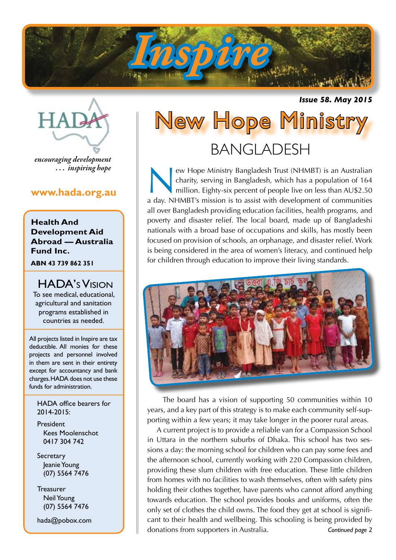

*Issue 58. May 2015*



*encouraging development . . . inspiring hope*

## **www.hada.org.au**

**Health And Development Aid Abroad — Australia Fund Inc.**

**ABN 43 739 862 351**

HADA's Vision To see medical, educational, agricultural and sanitation programs established in countries as needed.

All projects listed in Inspire are tax deductible. All monies for these projects and personnel involved in them are sent in their entirety except for accountancy and bank charges. HADA does not use these funds for administration.

HADA office bearers for 2014-2015:

President Kees Moolenschot 0417 304 742

**Secretary**  Jeanie Young (07) 5564 7476

**Treasurer**  Neil Young (07) 5564 7476

hada@pobox.com

# New Hope Ministry BANGLADESH

ew Hope Ministry Bangladesh Trust (NHMBT) is an Australian charity, serving in Bangladesh, which has a population of 164 million. Eighty-six percent of people live on less than AU\$2.50 a day. NHMBT's mission is to assist with development of communities all over Bangladesh providing education facilities, health programs, and poverty and disaster relief. The local board, made up of Bangladeshi nationals with a broad base of occupations and skills, has mostly been focused on provision of schools, an orphanage, and disaster relief. Work is being considered in the area of women's literacy, and continued help for children through education to improve their living standards.



The board has a vision of supporting 50 communities within 10 years, and a key part of this strategy is to make each community self-supporting within a few years; it may take longer in the poorer rural areas.

A current project is to provide a reliable van for a Compassion School in Uttara in the northern suburbs of Dhaka. This school has two sessions a day: the morning school for children who can pay some fees and the afternoon school, currently working with 220 Compassion children, providing these slum children with free education. These little children from homes with no facilities to wash themselves, often with safety pins holding their clothes together, have parents who cannot afford anything towards education. The school provides books and uniforms, often the only set of clothes the child owns. The food they get at school is significant to their health and wellbeing. This schooling is being provided by donations from supporters in Australia. *Continued page 2*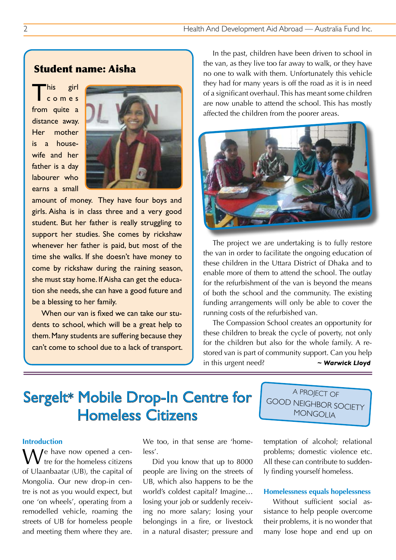## Student name: Aisha

This girl<br>Comes from quite a distance away. Her mother is a housewife and her father is a day labourer who earns a small



amount of money. They have four boys and girls. Aisha is in class three and a very good student. But her father is really struggling to support her studies. She comes by rickshaw whenever her father is paid, but most of the time she walks. If she doesn't have money to come by rickshaw during the raining season, she must stay home. If Aisha can get the education she needs, she can have a good future and be a blessing to her family.

When our van is fixed we can take our students to school, which will be a great help to them. Many students are suffering because they can't come to school due to a lack of transport.

In the past, children have been driven to school in the van, as they live too far away to walk, or they have no one to walk with them. Unfortunately this vehicle they had for many years is off the road as it is in need of a significant overhaul. This has meant some children are now unable to attend the school. This has mostly affected the children from the poorer areas.



The project we are undertaking is to fully restore the van in order to facilitate the ongoing education of these children in the Uttara District of Dhaka and to enable more of them to attend the school. The outlay for the refurbishment of the van is beyond the means of both the school and the community. The existing funding arrangements will only be able to cover the running costs of the refurbished van.

The Compassion School creates an opportunity for these children to break the cycle of poverty, not only for the children but also for the whole family. A restored van is part of community support. Can you help in this urgent need? *~ Warwick Lloyd*

## Sergelt\* Mobile Drop-In Centre for Homeless Citizens

A PROJECT OF GOOD NEIGHBOR SOCIETY **MONGOLIA** 

#### **Introduction**

 $\sqrt{e}$  have now opened a centre for the homeless citizens of Ulaanbaatar (UB), the capital of Mongolia. Our new drop-in centre is not as you would expect, but one 'on wheels', operating from a remodelled vehicle, roaming the streets of UB for homeless people and meeting them where they are. We too, in that sense are 'homeless'.

Did you know that up to 8000 people are living on the streets of UB, which also happens to be the world's coldest capital? Imagine… losing your job or suddenly receiving no more salary; losing your belongings in a fire, or livestock in a natural disaster; pressure and temptation of alcohol; relational problems; domestic violence etc. All these can contribute to suddenly finding yourself homeless.

#### **Homelessness equals hopelessness**

Without sufficient social assistance to help people overcome their problems, it is no wonder that many lose hope and end up on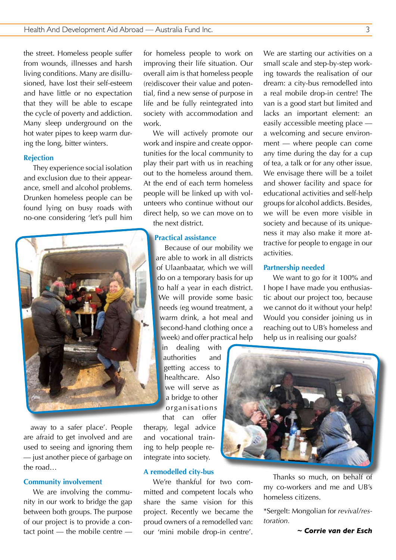the street. Homeless people suffer from wounds, illnesses and harsh living conditions. Many are disillusioned, have lost their self-esteem and have little or no expectation that they will be able to escape the cycle of poverty and addiction. Many sleep underground on the hot water pipes to keep warm during the long, bitter winters.

#### **Rejection**

They experience social isolation and exclusion due to their appearance, smell and alcohol problems. Drunken homeless people can be found lying on busy roads with no-one considering 'let's pull him



away to a safer place'. People are afraid to get involved and are used to seeing and ignoring them — just another piece of garbage on the road…

#### **Community involvement**

We are involving the community in our work to bridge the gap between both groups. The purpose of our project is to provide a contact point — the mobile centre —

for homeless people to work on improving their life situation. Our overall aim is that homeless people (re)discover their value and potential, find a new sense of purpose in life and be fully reintegrated into society with accommodation and work.

We will actively promote our work and inspire and create opportunities for the local community to play their part with us in reaching out to the homeless around them. At the end of each term homeless people will be linked up with volunteers who continue without our direct help, so we can move on to the next district.

#### **Practical assistance**

Because of our mobility we are able to work in all districts of Ulaanbaatar, which we will do on a temporary basis for up to half a year in each district. We will provide some basic needs (eg wound treatment, a warm drink, a hot meal and second-hand clothing once a week) and offer practical help

in dealing with authorities and getting access to healthcare. Also we will serve as a bridge to other organisations

that can offer therapy, legal advice and vocational training to help people reintegrate into society.

#### **A remodelled city-bus**

We're thankful for two committed and competent locals who share the same vision for this project. Recently we became the proud owners of a remodelled van: our 'mini mobile drop-in centre'.

We are starting our activities on a small scale and step-by-step working towards the realisation of our dream: a city-bus remodelled into a real mobile drop-in centre! The van is a good start but limited and lacks an important element: an easily accessible meeting place a welcoming and secure environment — where people can come any time during the day for a cup of tea, a talk or for any other issue. We envisage there will be a toilet and shower facility and space for educational activities and self-help groups for alcohol addicts. Besides, we will be even more visible in society and because of its uniqueness it may also make it more attractive for people to engage in our activities.

#### **Partnership needed**

We want to go for it 100% and I hope I have made you enthusiastic about our project too, because we cannot do it without your help! Would you consider joining us in reaching out to UB's homeless and help us in realising our goals?



Thanks so much, on behalf of my co-workers and me and UB's homeless citizens.

\*Sergelt: Mongolian for *revival/restoration.*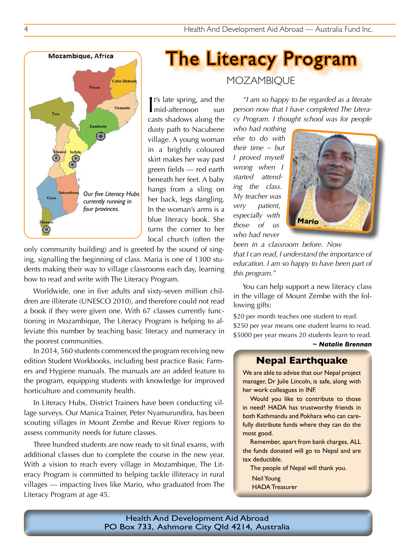## 4 Health And Development Aid Abroad — Australia Fund Inc.



hangs from a sling on her back, legs dangling. In the woman's arms is a blue literacy book. She turns the corner to her local church (often the *Our five Literacy Hubs* 

only community building) and is greeted by the sound of singing, signalling the beginning of class. Maria is one of 1300 students making their way to village classrooms each day, learning how to read and write with The Literacy Program.

Cabo Delead

Nampuls

*currently running in four provinces.*

Mozambique, Africa

Tet:

**Nissa** 

€

Worldwide, one in five adults and sixty-seven million children are illiterate (UNESCO 2010), and therefore could not read a book if they were given one. With 67 classes currently functioning in Mozambique, The Literacy Program is helping to alleviate this number by teaching basic literacy and numeracy in the poorest communities.

In 2014, 560 students commenced the program receiving new edition Student Workbooks, including best practice Basic Farmers and Hygiene manuals. The manuals are an added feature to the program, equipping students with knowledge for improved horticulture and community health.

In Literacy Hubs, District Trainers have been conducting village surveys. Our Manica Trainer, Peter Nyamurundira, has been scouting villages in Mount Zembe and Revue River regions to assess community needs for future classes.

Three hundred students are now ready to sit final exams, with additional classes due to complete the course in the new year. With a vision to reach every village in Mozambique, The Literacy Program is committed to helping tackle illiteracy in rural villages — impacting lives like Mario, who graduated from The Literacy Program at age 45.

## **MOZAMBIQUE**

The Literacy Program

*"I am so happy to be regarded as a literate person now that I have completed The Literacy Program. I thought school was for people* 

*who had nothing else to do with their time – but I proved myself wrong when I started attending the class. My teacher was very patient, especially with those of us who had never* 



*been in a classroom before. Now that I can read, I understand the importance of education. I am so happy to have been part of this program."*

You can help support a new literacy class in the village of Mount Zembe with the following gifts:

\$20 per month teaches one student to read. \$250 per year means one student learns to read. \$5000 per year means 20 students learn to read. *~ Natalie Brennan*

## **Nepal Earthquake**

We are able to advise that our Nepal project manager, Dr Julie Lincoln, is safe, along with her work colleagues in INF.

Would you like to contribute to those in need? HADA has trustworthy friends in both Kathmandu and Pokhara who can carefully distribute funds where they can do the most good.

Remember, apart from bank charges, ALL the funds donated will go to Nepal and are tax deductible.

The people of Nepal will thank you.

Neil Young

HADA Treasurer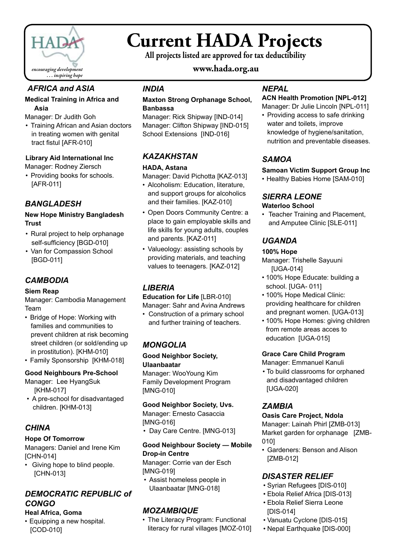

## **Current HADA Projects**

**All projects listed are approved for tax deductibility**

## **www.hada.org.au**

## *AFRICA and ASIA*

#### **Medical Training in Africa and Asia**

Manager: Dr Judith Goh

• Training African and Asian doctors in treating women with genital tract fistul [AFR-010]

#### **Library Aid International Inc**

Manager: Rodney Ziersch

• Providing books for schools. [AFR-011]

## *BANGLADESH*

#### **New Hope Ministry Bangladesh Trust**

- Rural project to help orphanage self-sufficiency [BGD-010]
- Van for Compassion School [BGD-011]

## *CAMBODIA*

#### **Siem Reap**

Manager: Cambodia Management Team

- Bridge of Hope: Working with families and communities to prevent children at risk becoming street children (or sold/ending up in prostitution). [KHM-010]
- Family Sponsorship [KHM-018]

### **Good Neighbours Pre-School**

Manager: Lee HyangSuk [KHM-017]

• A pre-school for disadvantaged children. [KHM-013]

## *CHINA*

#### **Hope Of Tomorrow**

Managers: Daniel and Irene Kim [CHN-014]

• Giving hope to blind people. [CHN-013]

## *DEMOCRATIC REPUBLIC of CONGO*

#### **Heal Africa, Goma**

• Equipping a new hospital. [COD-010]

## *INDIA*

#### **Maxton Strong Orphanage School, Banbassa**

Manager: Rick Shipway [IND-014] Manager: Clifton Shipway [IND-015] School Extensions [IND-016]

## *KAZAKHSTAN*

#### **HADA, Astana**

Manager: David Pichotta [KAZ-013]

- Alcoholism: Education, literature, and support groups for alcoholics and their families. [KAZ-010]
- Open Doors Community Centre: a place to gain employable skills and life skills for young adults, couples and parents. [KAZ-011]
- Valueology: assisting schools by providing materials, and teaching values to teenagers. [KAZ-012]

## *LIBERIA*

**Education for Life** [LBR-010] Manager: Sahr and Avina Andrews

• Construction of a primary school and further training of teachers.

## *MONGOLIA*

#### **Good Neighbor Society, Ulaanbaatar**

Manager: WooYoung Kim Family Development Program [MNG-010]

### **Good Neighbor Society, Uvs.**

Manager: Ernesto Casaccia [MNG-016]

• Day Care Centre. [MNG-013]

### **Good Neighbour Society — Mobile Drop-in Centre**

Manager: Corrie van der Esch [MNG-019]

• Assist homeless people in Ulaanbaatar [MNG-018]

## *MOZAMBIQUE*

• The Literacy Program: Functional literacy for rural villages [MOZ-010]

## *NEPAL*

## **ACN Health Promotion [NPL-012]**

Manager: Dr Julie Lincoln [NPL-011]

• Providing access to safe drinking water and toilets, improve knowledge of hygiene/sanitation, nutrition and preventable diseases.

## *SAMOA*

#### **Samoan Victim Support Group Inc**

• Healthy Babies Home [SAM-010]

#### *SIERRA LEONE* **Waterloo School**

• Teacher Training and Placement, and Amputee Clinic [SLE-011]

## *UGANDA*

#### **100% Hope**

Manager: Trishelle Sayuuni [UGA-014]

- 100% Hope Educate: building a school. [UGA- 011]
- 100% Hope Medical Clinic: providing healthcare for children and pregnant women. [UGA-013]
- 100% Hope Homes: giving children from remote areas acces to education [UGA-015]

### **Grace Care Child Program**

Manager: Emmanuel Kanuli

• To build classrooms for orphaned and disadvantaged children [UGA-020]

## *ZAMBIA*

#### **Oasis Care Project, Ndola**

Manager: Lainah Phirl [ZMB-013] Market garden for orphanage [ZMB-010]

• Gardeners: Benson and Alison [ZMB-012]

## *DISASTER RELIEF*

- • Syrian Refugees [DIS-010]
- Ebola Relief Africa [DIS-013]
- • Ebola Relief Sierra Leone [DIS-014]
- • Vanuatu Cyclone [DIS-015]
- • Nepal Earthquake [DIS-000]